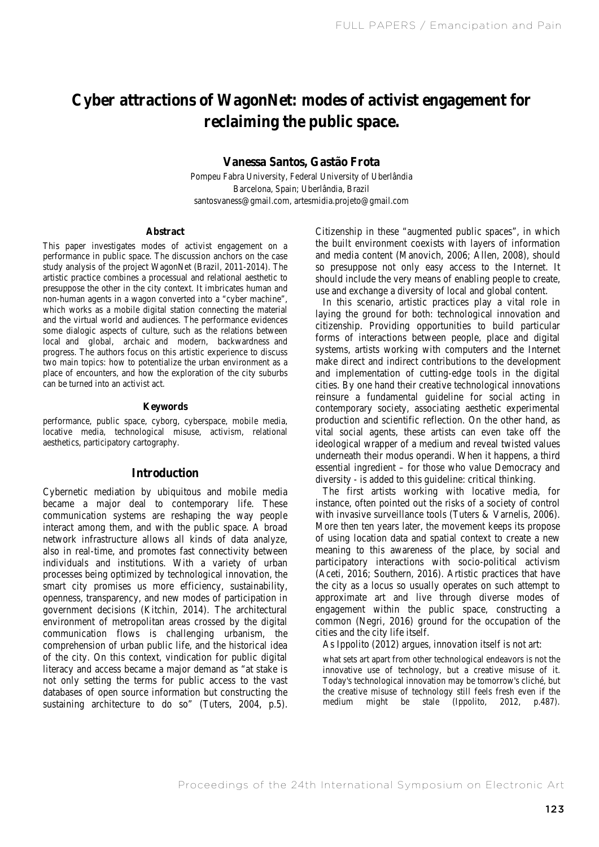# **Cyber attractions of WagonNet: modes of activist engagement for reclaiming the public space.**

#### **Vanessa Santos, Gastão Frota**

Pompeu Fabra University, Federal University of Uberlândia Barcelona, Spain; Uberlândia, Brazil santosvaness@gmail.com, artesmidia.projeto@gmail.com

#### **Abstract**

This paper investigates modes of activist engagement on a performance in public space. The discussion anchors on the case study analysis of the project WagonNet (Brazil, 2011-2014). The artistic practice combines a processual and relational aesthetic to presuppose the other in the city context. It imbricates human and non-human agents in a wagon converted into a "cyber machine", which works as a mobile digital station connecting the material and the virtual world and audiences. The performance evidences some dialogic aspects of culture, such as the relations between local and global, archaic and modern, backwardness and progress. The authors focus on this artistic experience to discuss two main topics: how to potentialize the urban environment as a place of encounters, and how the exploration of the city suburbs can be turned into an activist act.

#### **Keywords**

performance, public space, cyborg, cyberspace, mobile media, locative media, technological misuse, activism, relational aesthetics, participatory cartography.

#### **Introduction**

Cybernetic mediation by ubiquitous and mobile media became a major deal to contemporary life. These communication systems are reshaping the way people interact among them, and with the public space. A broad network infrastructure allows all kinds of data analyze, also in real-time, and promotes fast connectivity between individuals and institutions. With a variety of urban processes being optimized by technological innovation, the smart city promises us more efficiency, sustainability, openness, transparency, and new modes of participation in government decisions (Kitchin, 2014). The architectural environment of metropolitan areas crossed by the digital communication flows is challenging urbanism, the comprehension of urban public life, and the historical idea of the city. On this context, vindication for public digital literacy and access became a major demand as "at stake is not only setting the terms for public access to the vast databases of open source information but constructing the sustaining architecture to do so" (Tuters, 2004, p.5).

Citizenship in these "augmented public spaces", in which the built environment coexists with layers of information and media content (Manovich, 2006; Allen, 2008), should so presuppose not only easy access to the Internet. It should include the very means of enabling people to create, use and exchange a diversity of local and global content.

In this scenario, artistic practices play a vital role in laying the ground for both: technological innovation and citizenship. Providing opportunities to build particular forms of interactions between people, place and digital systems, artists working with computers and the Internet make direct and indirect contributions to the development and implementation of cutting-edge tools in the digital cities. By one hand their creative technological innovations reinsure a fundamental guideline for social acting in contemporary society, associating aesthetic experimental production and scientific reflection. On the other hand, as vital social agents, these artists can even take off the ideological wrapper of a medium and reveal twisted values underneath their modus operandi. When it happens, a third essential ingredient – for those who value Democracy and diversity - is added to this guideline: critical thinking.

The first artists working with locative media, for instance, often pointed out the risks of a society of control with invasive surveillance tools (Tuters & Varnelis, 2006). More then ten years later, the movement keeps its propose of using location data and spatial context to create a new meaning to this awareness of the place, by social and participatory interactions with socio-political activism (Aceti, 2016; Southern, 2016). Artistic practices that have the city as a locus so usually operates on such attempt to approximate art and live through diverse modes of engagement within the public space, constructing a common (Negri, 2016) ground for the occupation of the cities and the city life itself.

As Ippolito (2012) argues, innovation itself is not art:

what sets art apart from other technological endeavors is not the innovative use of technology, but a creative misuse of it. Today's technological innovation may be tomorrow's cliché, but the creative misuse of technology still feels fresh even if the medium might be stale (Ippolito, 2012, p.487).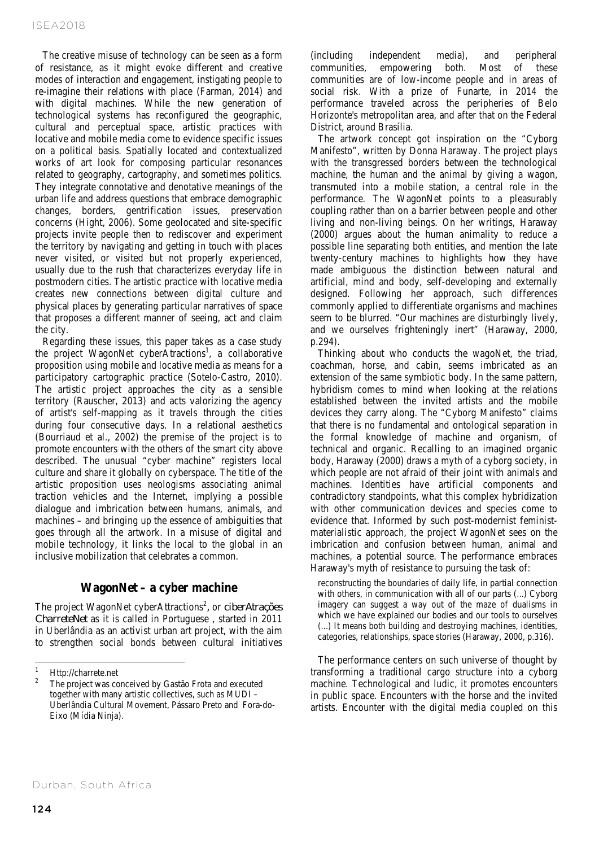The creative misuse of technology can be seen as a form of resistance, as it might evoke different and creative modes of interaction and engagement, instigating people to re-imagine their relations with place (Farman, 2014) and with digital machines. While the new generation of technological systems has reconfigured the geographic, cultural and perceptual space, artistic practices with locative and mobile media come to evidence specific issues on a political basis. Spatially located and contextualized works of art look for composing particular resonances related to geography, cartography, and sometimes politics. They integrate connotative and denotative meanings of the urban life and address questions that embrace demographic changes, borders, gentrification issues, preservation concerns (Hight, 2006). Some geolocated and site-specific projects invite people then to rediscover and experiment the territory by navigating and getting in touch with places never visited, or visited but not properly experienced, usually due to the rush that characterizes everyday life in postmodern cities. The artistic practice with locative media creates new connections between digital culture and physical places by generating particular narratives of space that proposes a different manner of seeing, act and claim the city.

Regarding these issues, this paper takes as a case study the project WagonNet cyberAtractions<sup>1</sup>, a collaborative proposition using mobile and locative media as means for a participatory cartographic practice (Sotelo-Castro, 2010). The artistic project approaches the city as a sensible territory (Rauscher, 2013) and acts valorizing the agency of artist's self-mapping as it travels through the cities during four consecutive days. In a relational aesthetics (Bourriaud et al., 2002) the premise of the project is to promote encounters with the others of the smart city above described. The unusual "cyber machine" registers local culture and share it globally on cyberspace. The title of the artistic proposition uses neologisms associating animal traction vehicles and the Internet, implying a possible dialogue and imbrication between humans, animals, and machines – and bringing up the essence of ambiguities that goes through all the artwork. In a misuse of digital and mobile technology, it links the local to the global in an inclusive mobilization that celebrates a common.

# **WagonNet – a cyber machine**

The project WagonNet cyberAttractions<sup>2</sup>, or *ciberAtrações CharreteNet* as it is called in Portuguese , started in 2011 in Uberlândia as an activist urban art project, with the aim to strengthen social bonds between cultural initiatives

(including independent media), and peripheral communities, empowering both. Most of these communities are of low-income people and in areas of social risk. With a prize of Funarte, in 2014 the performance traveled across the peripheries of Belo Horizonte's metropolitan area, and after that on the Federal District, around Brasília.

The artwork concept got inspiration on the "Cyborg Manifesto", written by Donna Haraway. The project plays with the transgressed borders between the technological machine, the human and the animal by giving a wagon, transmuted into a mobile station, a central role in the performance. The WagonNet points to a pleasurably coupling rather than on a barrier between people and other living and non-living beings. On her writings, Haraway (2000) argues about the human animality to reduce a possible line separating both entities, and mention the late twenty-century machines to highlights how they have made ambiguous the distinction between natural and artificial, mind and body, self-developing and externally designed. Following her approach, such differences commonly applied to differentiate organisms and machines seem to be blurred. "Our machines are disturbingly lively, and we ourselves frighteningly inert" (Haraway, 2000, p.294).

Thinking about who conducts the wagoNet, the triad, coachman, horse, and cabin, seems imbricated as an extension of the same symbiotic body. In the same pattern, hybridism comes to mind when looking at the relations established between the invited artists and the mobile devices they carry along. The "Cyborg Manifesto" claims that there is no fundamental and ontological separation in the formal knowledge of machine and organism, of technical and organic. Recalling to an imagined organic body, Haraway (2000) draws a myth of a cyborg society, in which people are not afraid of their joint with animals and machines. Identities have artificial components and contradictory standpoints, what this complex hybridization with other communication devices and species come to evidence that. Informed by such post-modernist feministmaterialistic approach, the project WagonNet sees on the imbrication and confusion between human, animal and machines, a potential source. The performance embraces Haraway's myth of resistance to pursuing the task of:

reconstructing the boundaries of daily life, in partial connection with others, in communication with all of our parts  $(...)$  Cyborg imagery can suggest a way out of the maze of dualisms in which we have explained our bodies and our tools to ourselves (...) It means both building and destroying machines, identities, categories, relationships, space stories (Haraway, 2000, p.316).

The performance centers on such universe of thought by transforming a traditional cargo structure into a cyborg machine. Technological and ludic, it promotes encounters in public space. Encounters with the horse and the invited artists. Encounter with the digital media coupled on this

 $\overline{a}$ 

Http://charrete.net<br>The project was conceived by Gastão Frota and executed together with many artistic collectives, such as MUDI – Uberlândia Cultural Movement, Pássaro Preto and Fora-do-Eixo (Mídia Ninja).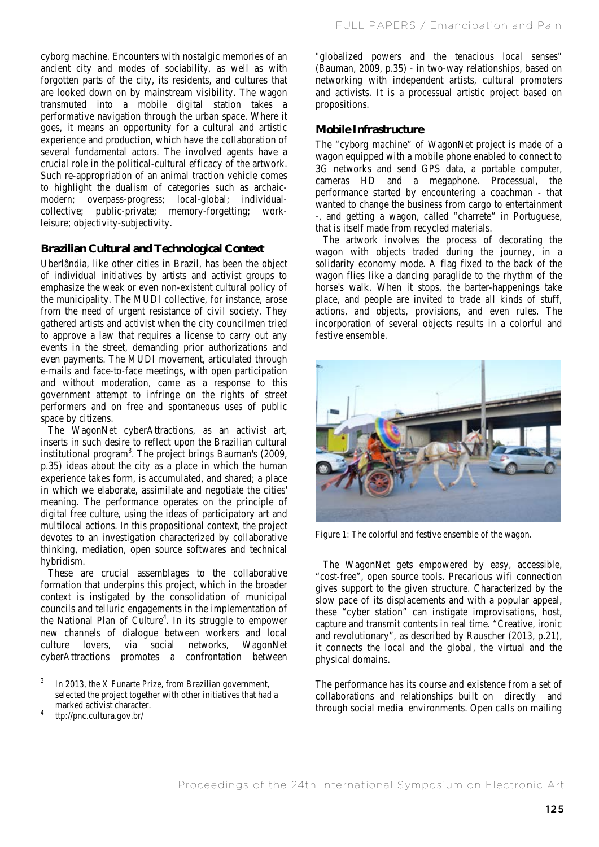cyborg machine. Encounters with nostalgic memories of an ancient city and modes of sociability, as well as with forgotten parts of the city, its residents, and cultures that are looked down on by mainstream visibility. The wagon transmuted into a mobile digital station takes a performative navigation through the urban space. Where it goes, it means an opportunity for a cultural and artistic experience and production, which have the collaboration of several fundamental actors. The involved agents have a crucial role in the political-cultural efficacy of the artwork. Such re-appropriation of an animal traction vehicle comes to highlight the dualism of categories such as archaicmodern; overpass-progress; local-global; individualcollective; public-private; memory-forgetting; workleisure; objectivity-subjectivity.

#### **Brazilian Cultural and Technological Context**

Uberlândia, like other cities in Brazil, has been the object of individual initiatives by artists and activist groups to emphasize the weak or even non-existent cultural policy of the municipality. The MUDI collective, for instance, arose from the need of urgent resistance of civil society. They gathered artists and activist when the city councilmen tried to approve a law that requires a license to carry out any events in the street, demanding prior authorizations and even payments. The MUDI movement, articulated through e-mails and face-to-face meetings, with open participation and without moderation, came as a response to this government attempt to infringe on the rights of street performers and on free and spontaneous uses of public space by citizens.

The WagonNet cyberAttractions, as an activist art, inserts in such desire to reflect upon the Brazilian cultural institutional program<sup>3</sup>. The project brings Bauman's (2009, p.35) ideas about the city as a place in which the human experience takes form, is accumulated, and shared; a place in which we elaborate, assimilate and negotiate the cities' meaning. The performance operates on the principle of digital free culture, using the ideas of participatory art and multilocal actions. In this propositional context, the project devotes to an investigation characterized by collaborative thinking, mediation, open source softwares and technical hybridism.

These are crucial assemblages to the collaborative formation that underpins this project, which in the broader context is instigated by the consolidation of municipal councils and telluric engagements in the implementation of the National Plan of Culture<sup>4</sup>. In its struggle to empower new channels of dialogue between workers and local culture lovers, via social networks, WagonNet cyberAttractions promotes a confrontation between

"globalized powers and the tenacious local senses" (Bauman, 2009, p.35) - in two-way relationships, based on networking with independent artists, cultural promoters and activists. It is a processual artistic project based on propositions.

#### **Mobile Infrastructure**

The "cyborg machine" of WagonNet project is made of a wagon equipped with a mobile phone enabled to connect to 3G networks and send GPS data, a portable computer, cameras HD and a megaphone. Processual, the performance started by encountering a coachman - that wanted to change the business from cargo to entertainment -, and getting a wagon, called "charrete" in Portuguese, that is itself made from recycled materials.

The artwork involves the process of decorating the wagon with objects traded during the journey, in a solidarity economy mode. A flag fixed to the back of the wagon flies like a dancing paraglide to the rhythm of the horse's walk. When it stops, the barter-happenings take place, and people are invited to trade all kinds of stuff, actions, and objects, provisions, and even rules. The incorporation of several objects results in a colorful and festive ensemble.



Figure 1: The colorful and festive ensemble of the wagon.

The WagonNet gets empowered by easy, accessible, "cost-free", open source tools. Precarious wifi connection gives support to the given structure. Characterized by the slow pace of its displacements and with a popular appeal, these "cyber station" can instigate improvisations, host, capture and transmit contents in real time. "Creative, ironic and revolutionary", as described by Rauscher (2013, p.21), it connects the local and the global, the virtual and the physical domains.

The performance has its course and existence from a set of collaborations and relationships built on directly and through social media environments. Open calls on mailing

 $\overline{3}$ In 2013, the X Funarte Prize, from Brazilian government, selected the project together with other initiatives that had a

marked activist character.<br>ttp://pnc.cultura.gov.br/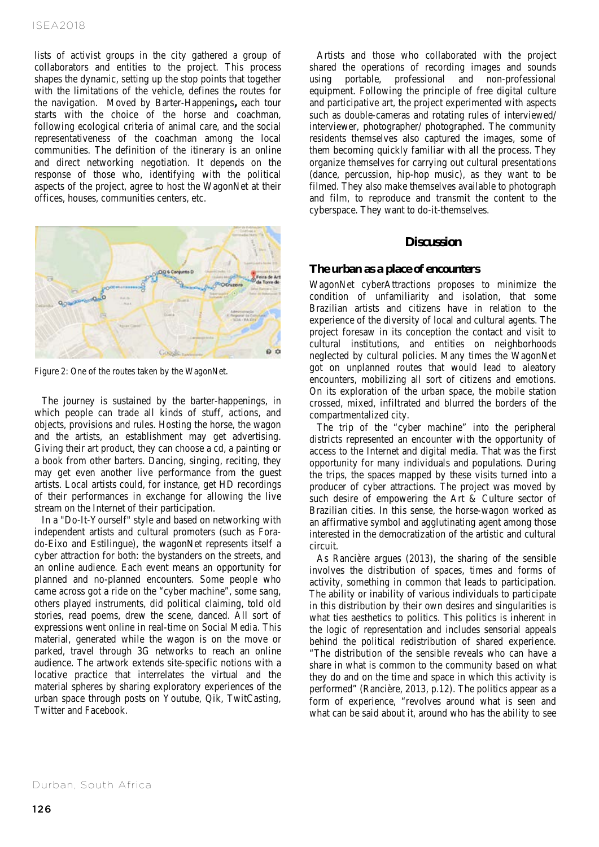lists of activist groups in the city gathered a group of collaborators and entities to the project. This process shapes the dynamic, setting up the stop points that together with the limitations of the vehicle, defines the routes for the navigation. Moved by Barter-Happenings**,** each tour starts with the choice of the horse and coachman, following ecological criteria of animal care, and the social representativeness of the coachman among the local communities. The definition of the itinerary is an online and direct networking negotiation. It depends on the response of those who, identifying with the political aspects of the project, agree to host the WagonNet at their offices, houses, communities centers, etc.



Figure 2: One of the routes taken by the WagonNet.

The journey is sustained by the barter-happenings, in which people can trade all kinds of stuff, actions, and objects, provisions and rules. Hosting the horse, the wagon and the artists, an establishment may get advertising. Giving their art product, they can choose a cd, a painting or a book from other barters. Dancing, singing, reciting, they may get even another live performance from the guest artists. Local artists could, for instance, get HD recordings of their performances in exchange for allowing the live stream on the Internet of their participation.

In a "Do-It-Yourself" style and based on networking with independent artists and cultural promoters (such as Forado-Eixo and Estilingue), the wagonNet represents itself a cyber attraction for both: the bystanders on the streets, and an online audience. Each event means an opportunity for planned and no-planned encounters. Some people who came across got a ride on the "cyber machine", some sang, others played instruments, did political claiming, told old stories, read poems, drew the scene, danced. All sort of expressions went online in real-time on Social Media. This material, generated while the wagon is on the move or parked, travel through 3G networks to reach an online audience. The artwork extends site-specific notions with a locative practice that interrelates the virtual and the material spheres by sharing exploratory experiences of the urban space through posts on Youtube, Qik, TwitCasting, Twitter and Facebook.

Artists and those who collaborated with the project shared the operations of recording images and sounds using portable, professional and non-professional equipment. Following the principle of free digital culture and participative art, the project experimented with aspects such as double-cameras and rotating rules of interviewed/ interviewer, photographer/ photographed. The community residents themselves also captured the images, some of them becoming quickly familiar with all the process. They organize themselves for carrying out cultural presentations (dance, percussion, hip-hop music), as they want to be filmed. They also make themselves available to photograph and film, to reproduce and transmit the content to the cyberspace. They want to do-it-themselves.

## **Discussion**

#### **The urban as a place of encounters**

WagonNet cyberAttractions proposes to minimize the condition of unfamiliarity and isolation, that some Brazilian artists and citizens have in relation to the experience of the diversity of local and cultural agents. The project foresaw in its conception the contact and visit to cultural institutions, and entities on neighborhoods neglected by cultural policies. Many times the WagonNet got on unplanned routes that would lead to aleatory encounters, mobilizing all sort of citizens and emotions. On its exploration of the urban space, the mobile station crossed, mixed, infiltrated and blurred the borders of the compartmentalized city.

The trip of the "cyber machine" into the peripheral districts represented an encounter with the opportunity of access to the Internet and digital media. That was the first opportunity for many individuals and populations. During the trips, the spaces mapped by these visits turned into a producer of cyber attractions. The project was moved by such desire of empowering the Art & Culture sector of Brazilian cities. In this sense, the horse-wagon worked as an affirmative symbol and agglutinating agent among those interested in the democratization of the artistic and cultural circuit.

As Rancière argues (2013), the sharing of the sensible involves the distribution of spaces, times and forms of activity, something in common that leads to participation. The ability or inability of various individuals to participate in this distribution by their own desires and singularities is what ties aesthetics to politics. This politics is inherent in the logic of representation and includes sensorial appeals behind the political redistribution of shared experience. "The distribution of the sensible reveals who can have a

share in what is common to the community based on what they do and on the time and space in which this activity is performed" (Rancière, 2013, p.12). The politics appear as a form of experience, "revolves around what is seen and what can be said about it, around who has the ability to see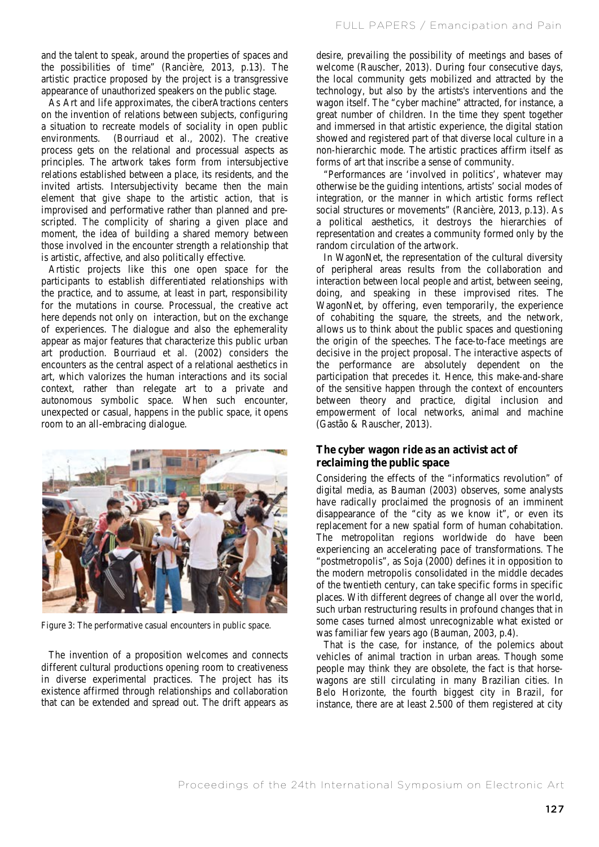and the talent to speak, around the properties of spaces and the possibilities of time" (Rancière, 2013, p.13). The artistic practice proposed by the project is a transgressive appearance of unauthorized speakers on the public stage.

As Art and life approximates, the ciberAtractions centers on the invention of relations between subjects, configuring a situation to recreate models of sociality in open public environments. (Bourriaud et al., 2002). The creative process gets on the relational and processual aspects as principles. The artwork takes form from intersubjective relations established between a place, its residents, and the invited artists. Intersubjectivity became then the main element that give shape to the artistic action, that is improvised and performative rather than planned and prescripted. The complicity of sharing a given place and moment, the idea of building a shared memory between those involved in the encounter strength a relationship that is artistic, affective, and also politically effective.

Artistic projects like this one open space for the participants to establish differentiated relationships with the practice, and to assume, at least in part, responsibility for the mutations in course. Processual, the creative act here depends not only on interaction, but on the exchange of experiences. The dialogue and also the ephemerality appear as major features that characterize this public urban art production. Bourriaud et al. (2002) considers the encounters as the central aspect of a relational aesthetics in art, which valorizes the human interactions and its social context, rather than relegate art to a private and autonomous symbolic space. When such encounter, unexpected or casual, happens in the public space, it opens room to an all-embracing dialogue.



Figure 3: The performative casual encounters in public space.

The invention of a proposition welcomes and connects different cultural productions opening room to creativeness in diverse experimental practices. The project has its existence affirmed through relationships and collaboration that can be extended and spread out. The drift appears as desire, prevailing the possibility of meetings and bases of welcome (Rauscher, 2013). During four consecutive days, the local community gets mobilized and attracted by the technology, but also by the artists's interventions and the wagon itself. The "cyber machine" attracted, for instance, a great number of children. In the time they spent together and immersed in that artistic experience, the digital station showed and registered part of that diverse local culture in a non-hierarchic mode. The artistic practices affirm itself as forms of art that inscribe a sense of community.

"Performances are 'involved in politics', whatever may otherwise be the guiding intentions, artists' social modes of integration, or the manner in which artistic forms reflect social structures or movements" (Rancière, 2013, p.13). As a political aesthetics, it destroys the hierarchies of representation and creates a community formed only by the random circulation of the artwork.

In WagonNet, the representation of the cultural diversity of peripheral areas results from the collaboration and interaction between local people and artist, between seeing, doing, and speaking in these improvised rites. The WagonNet, by offering, even temporarily, the experience of cohabiting the square, the streets, and the network, allows us to think about the public spaces and questioning the origin of the speeches. The face-to-face meetings are decisive in the project proposal. The interactive aspects of the performance are absolutely dependent on the participation that precedes it. Hence, this make-and-share of the sensitive happen through the context of encounters between theory and practice, digital inclusion and empowerment of local networks, animal and machine (Gastão & Rauscher, 2013).

# **The cyber wagon ride as an activist act of reclaiming the public space**

Considering the effects of the "informatics revolution" of digital media, as Bauman (2003) observes, some analysts have radically proclaimed the prognosis of an imminent disappearance of the "city as we know it", or even its replacement for a new spatial form of human cohabitation. The metropolitan regions worldwide do have been experiencing an accelerating pace of transformations. The "postmetropolis", as Soja (2000) defines it in opposition to the modern metropolis consolidated in the middle decades of the twentieth century, can take specific forms in specific places. With different degrees of change all over the world, such urban restructuring results in profound changes that in some cases turned almost unrecognizable what existed or was familiar few years ago (Bauman, 2003, p.4).

That is the case, for instance, of the polemics about vehicles of animal traction in urban areas. Though some people may think they are obsolete, the fact is that horsewagons are still circulating in many Brazilian cities. In Belo Horizonte, the fourth biggest city in Brazil, for instance, there are at least 2.500 of them registered at city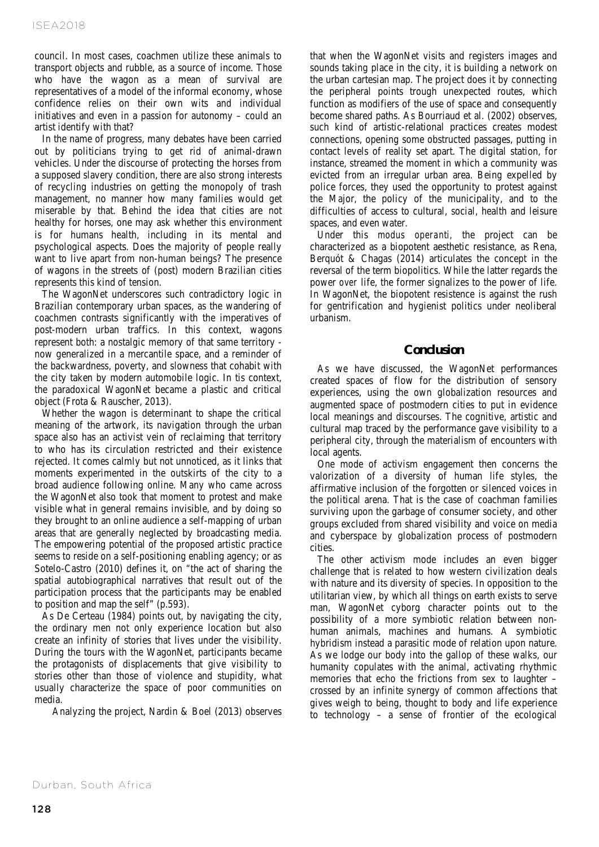council. In most cases, coachmen utilize these animals to transport objects and rubble, as a source of income. Those who have the wagon as a mean of survival are representatives of a model of the informal economy, whose confidence relies on their own wits and individual initiatives and even in a passion for autonomy – could an artist identify with that?

In the name of progress, many debates have been carried out by politicians trying to get rid of animal-drawn vehicles. Under the discourse of protecting the horses from a supposed slavery condition, there are also strong interests of recycling industries on getting the monopoly of trash management, no manner how many families would get miserable by that. Behind the idea that cities are not healthy for horses, one may ask whether this environment is for humans health, including in its mental and psychological aspects. Does the majority of people really want to live apart from non-human beings? The presence of wagons in the streets of (post) modern Brazilian cities represents this kind of tension.

The WagonNet underscores such contradictory logic in Brazilian contemporary urban spaces, as the wandering of coachmen contrasts significantly with the imperatives of post-modern urban traffics. In this context, wagons represent both: a nostalgic memory of that same territory now generalized in a mercantile space, and a reminder of the backwardness, poverty, and slowness that cohabit with the city taken by modern automobile logic. In tis context, the paradoxical WagonNet became a plastic and critical object (Frota & Rauscher, 2013).

Whether the wagon is determinant to shape the critical meaning of the artwork, its navigation through the urban space also has an activist vein of reclaiming that territory to who has its circulation restricted and their existence rejected. It comes calmly but not unnoticed, as it links that moments experimented in the outskirts of the city to a broad audience following online. Many who came across the WagonNet also took that moment to protest and make visible what in general remains invisible, and by doing so they brought to an online audience a self-mapping of urban areas that are generally neglected by broadcasting media. The empowering potential of the proposed artistic practice seems to reside on a self-positioning enabling agency; or as Sotelo-Castro (2010) defines it, on "the act of sharing the spatial autobiographical narratives that result out of the participation process that the participants may be enabled to position and map the self" (p.593).

As De Certeau (1984) points out, by navigating the city, the ordinary men not only experience location but also create an infinity of stories that lives under the visibility. During the tours with the WagonNet, participants became the protagonists of displacements that give visibility to stories other than those of violence and stupidity, what usually characterize the space of poor communities on media.

Analyzing the project, Nardin & Boel (2013) observes

that when the WagonNet visits and registers images and sounds taking place in the city, it is building a network on the urban cartesian map. The project does it by connecting the peripheral points trough unexpected routes, which function as modifiers of the use of space and consequently become shared paths. As Bourriaud et al. (2002) observes, such kind of artistic-relational practices creates modest connections, opening some obstructed passages, putting in contact levels of reality set apart. The digital station, for instance, streamed the moment in which a community was evicted from an irregular urban area. Being expelled by police forces, they used the opportunity to protest against the Major, the policy of the municipality, and to the difficulties of access to cultural, social, health and leisure spaces, and even water.

Under this *modus operanti,* the project can be characterized as a biopotent aesthetic resistance, as Rena, Berquót & Chagas (2014) articulates the concept in the reversal of the term biopolitics. While the latter regards the power *over* life, the former signalizes to the power of life. In WagonNet, the biopotent resistence is against the rush for gentrification and hygienist politics under neoliberal urbanism.

## **Conclusion**

As we have discussed, the WagonNet performances created spaces of flow for the distribution of sensory experiences, using the own globalization resources and augmented space of postmodern cities to put in evidence local meanings and discourses. The cognitive, artistic and cultural map traced by the performance gave visibility to a peripheral city, through the materialism of encounters with local agents.

One mode of activism engagement then concerns the valorization of a diversity of human life styles, the affirmative inclusion of the forgotten or silenced voices in the political arena. That is the case of coachman families surviving upon the garbage of consumer society, and other groups excluded from shared visibility and voice on media and cyberspace by globalization process of postmodern cities.

The other activism mode includes an even bigger challenge that is related to how western civilization deals with nature and its diversity of species. In opposition to the utilitarian view, by which all things on earth exists to serve man, WagonNet cyborg character points out to the possibility of a more symbiotic relation between nonhuman animals, machines and humans. A symbiotic hybridism instead a parasitic mode of relation upon nature. As we lodge our body into the gallop of these walks, our humanity copulates with the animal, activating rhythmic memories that echo the frictions from sex to laughter – crossed by an infinite synergy of common affections that gives weigh to being, thought to body and life experience to technology – a sense of frontier of the ecological